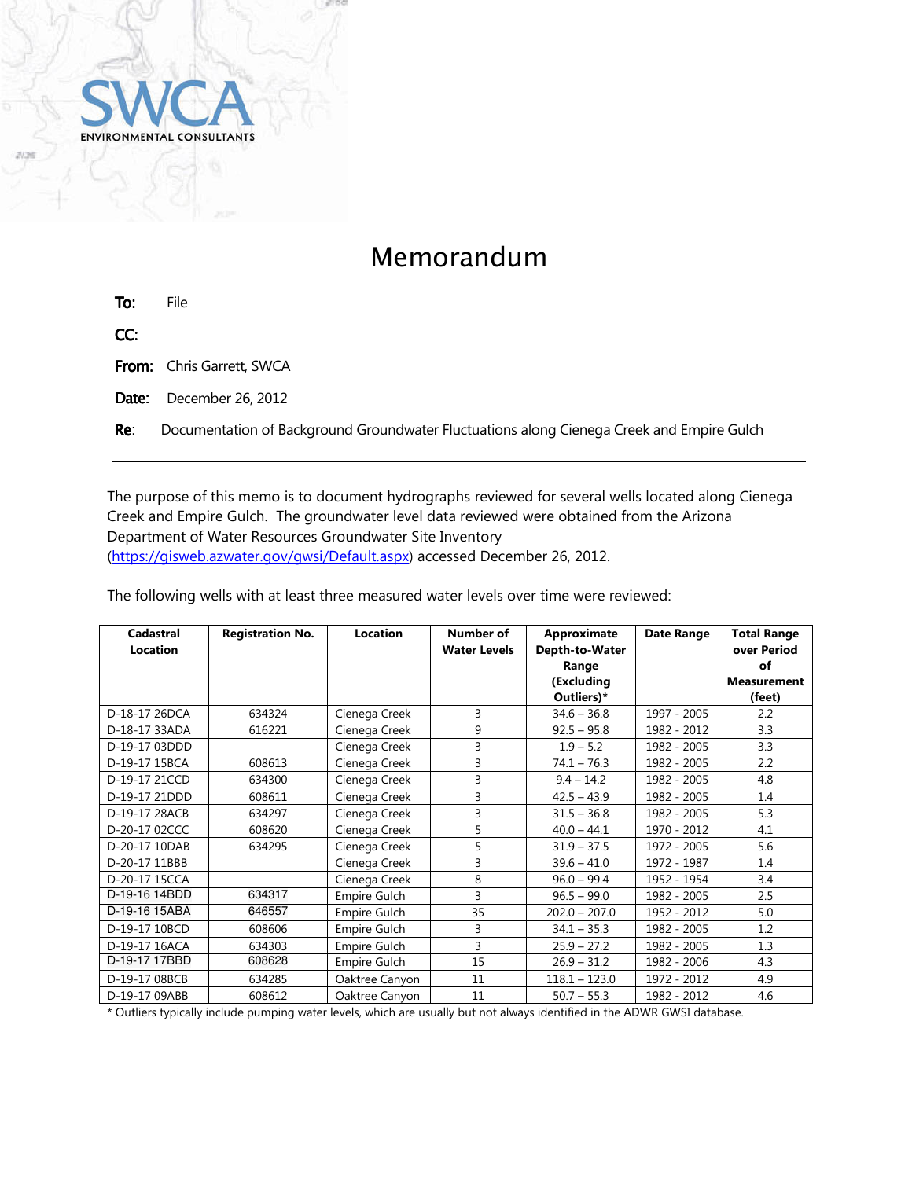

## Memorandum

| To: | File |  |
|-----|------|--|
| CC: |      |  |

From: Chris Garrett, SWCA

Date: December 26, 2012

Re: Documentation of Background Groundwater Fluctuations along Cienega Creek and Empire Gulch

The purpose of this memo is to document hydrographs reviewed for several wells located along Cienega Creek and Empire Gulch. The groundwater level data reviewed were obtained from the Arizona Department of Water Resources Groundwater Site Inventory (https://gisweb.azwater.gov/gwsi/Default.aspx) accessed December 26, 2012.

The following wells with at least three measured water levels over time were reviewed: **Cadastral Location Registration No. Location Number of Water Levels Approximate Depth-to-Water Date Range Total Range** 

| cauasuar<br>Location | Registration No. | LUCALIUII           | ivuilibel ol<br><b>Water Levels</b> | Approximate<br>Depth-to-Water<br>Range<br>(Excluding | Date Range  | TULAI NATIYE<br>over Period<br>of<br>Measurement |
|----------------------|------------------|---------------------|-------------------------------------|------------------------------------------------------|-------------|--------------------------------------------------|
| D-18-17 26DCA        | 634324           |                     | 3                                   | Outliers)*                                           | 1997 - 2005 | (feet)                                           |
|                      |                  | Cienega Creek       |                                     | $34.6 - 36.8$                                        |             | 2.2                                              |
| D-18-17 33ADA        | 616221           | Cienega Creek       | 9                                   | $92.5 - 95.8$                                        | 1982 - 2012 | 3.3                                              |
| D-19-17 03DDD        |                  | Cienega Creek       | 3                                   | $1.9 - 5.2$                                          | 1982 - 2005 | 3.3                                              |
| D-19-17 15BCA        | 608613           | Cienega Creek       | 3                                   | $74.1 - 76.3$                                        | 1982 - 2005 | 2.2                                              |
| D-19-17 21CCD        | 634300           | Cienega Creek       | 3                                   | $9.4 - 14.2$                                         | 1982 - 2005 | 4.8                                              |
| D-19-17 21DDD        | 608611           | Cienega Creek       | 3                                   | $42.5 - 43.9$                                        | 1982 - 2005 | 1.4                                              |
| D-19-17 28ACB        | 634297           | Cienega Creek       | 3                                   | $31.5 - 36.8$                                        | 1982 - 2005 | 5.3                                              |
| D-20-17 02CCC        | 608620           | Cienega Creek       | 5                                   | $40.0 - 44.1$                                        | 1970 - 2012 | 4.1                                              |
| D-20-17 10DAB        | 634295           | Cienega Creek       | 5                                   | $31.9 - 37.5$                                        | 1972 - 2005 | 5.6                                              |
| D-20-17 11BBB        |                  | Cienega Creek       | 3                                   | $39.6 - 41.0$                                        | 1972 - 1987 | 1.4                                              |
| D-20-17 15CCA        |                  | Cienega Creek       | 8                                   | $96.0 - 99.4$                                        | 1952 - 1954 | 3.4                                              |
| D-19-16 14BDD        | 634317           | Empire Gulch        | 3                                   | $96.5 - 99.0$                                        | 1982 - 2005 | 2.5                                              |
| D-19-16 15ABA        | 646557           | Empire Gulch        | 35                                  | $202.0 - 207.0$                                      | 1952 - 2012 | 5.0                                              |
| D-19-17 10BCD        | 608606           | Empire Gulch        | 3                                   | $34.1 - 35.3$                                        | 1982 - 2005 | 1.2                                              |
| D-19-17 16ACA        | 634303           | Empire Gulch        | 3                                   | $25.9 - 27.2$                                        | 1982 - 2005 | 1.3                                              |
| D-19-17 17BBD        | 608628           | <b>Empire Gulch</b> | 15                                  | $26.9 - 31.2$                                        | 1982 - 2006 | 4.3                                              |
| D-19-17 08BCB        | 634285           | Oaktree Canyon      | 11                                  | $118.1 - 123.0$                                      | 1972 - 2012 | 4.9                                              |
| D-19-17 09ABB        | 608612           | Oaktree Canyon      | 11                                  | $50.7 - 55.3$                                        | 1982 - 2012 | 4.6                                              |

\* Outliers typically include pumping water levels, which are usually but not always identified in the ADWR GWSI database.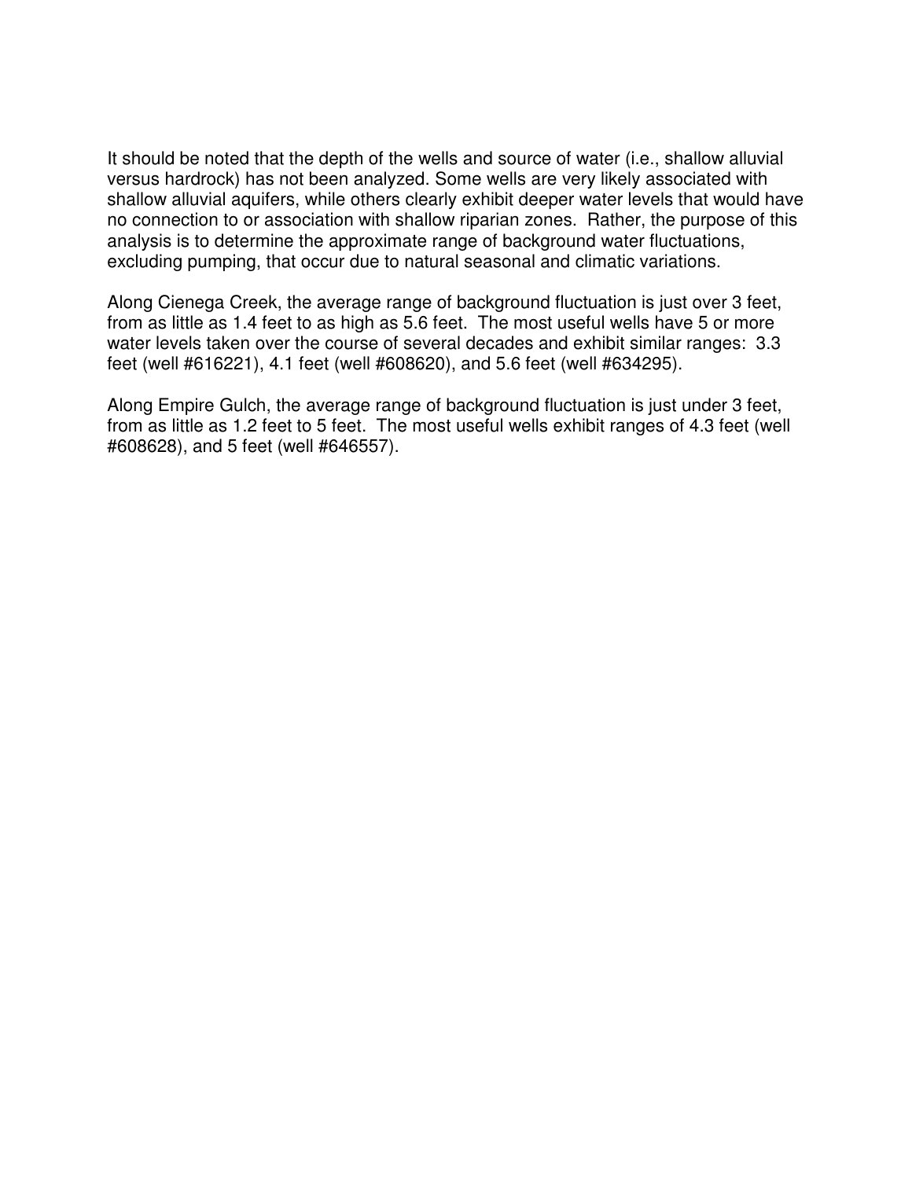It should be noted that the depth of the wells and source of water (i.e., shallow alluvial versus hardrock) has not been analyzed. Some wells are very likely associated with shallow alluvial aquifers, while others clearly exhibit deeper water levels that would have no connection to or association with shallow riparian zones. Rather, the purpose of this analysis is to determine the approximate range of background water fluctuations, excluding pumping, that occur due to natural seasonal and climatic variations.

Along Cienega Creek, the average range of background fluctuation is just over 3 feet, from as little as 1.4 feet to as high as 5.6 feet. The most useful wells have 5 or more water levels taken over the course of several decades and exhibit similar ranges: 3.3 feet (well #616221), 4.1 feet (well #608620), and 5.6 feet (well #634295).

Along Empire Gulch, the average range of background fluctuation is just under 3 feet, from as little as 1.2 feet to 5 feet. The most useful wells exhibit ranges of 4.3 feet (well #608628), and 5 feet (well #646557).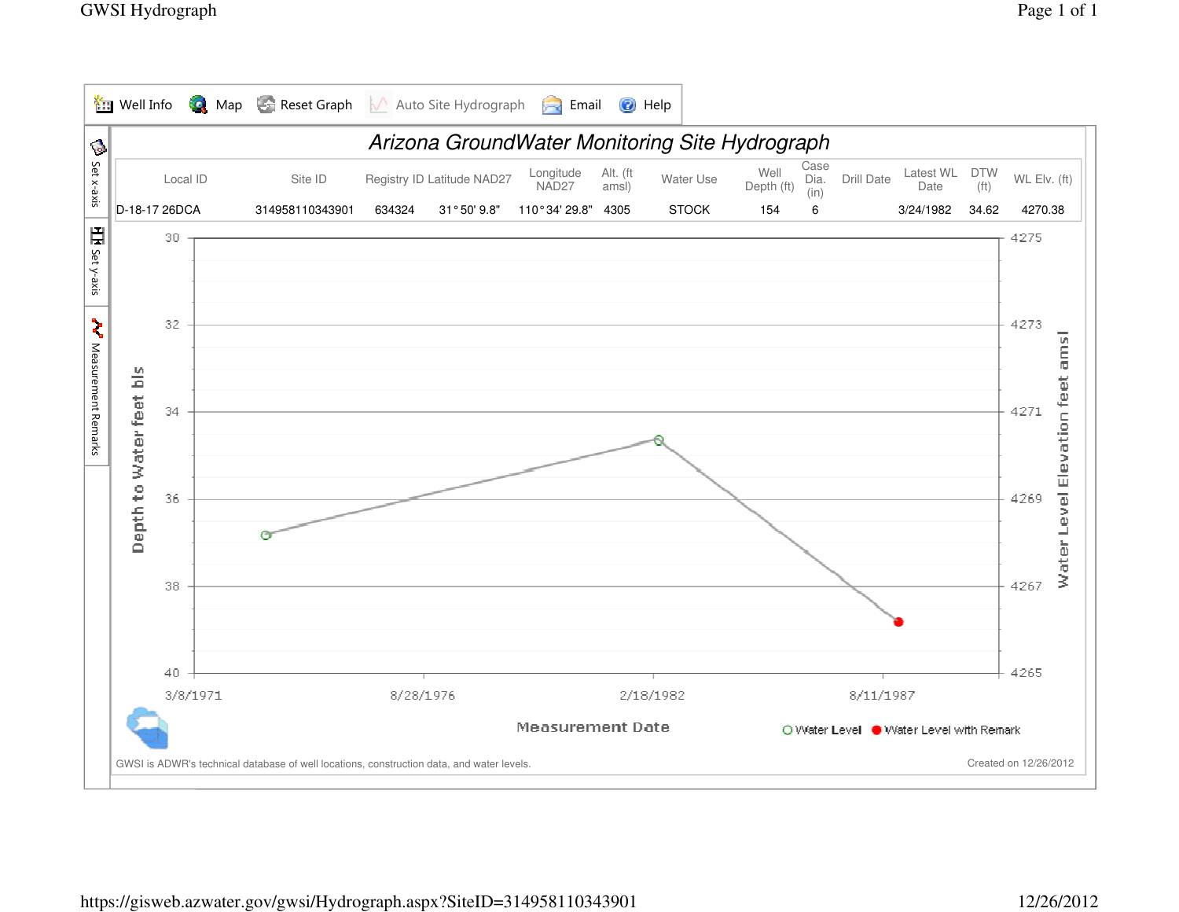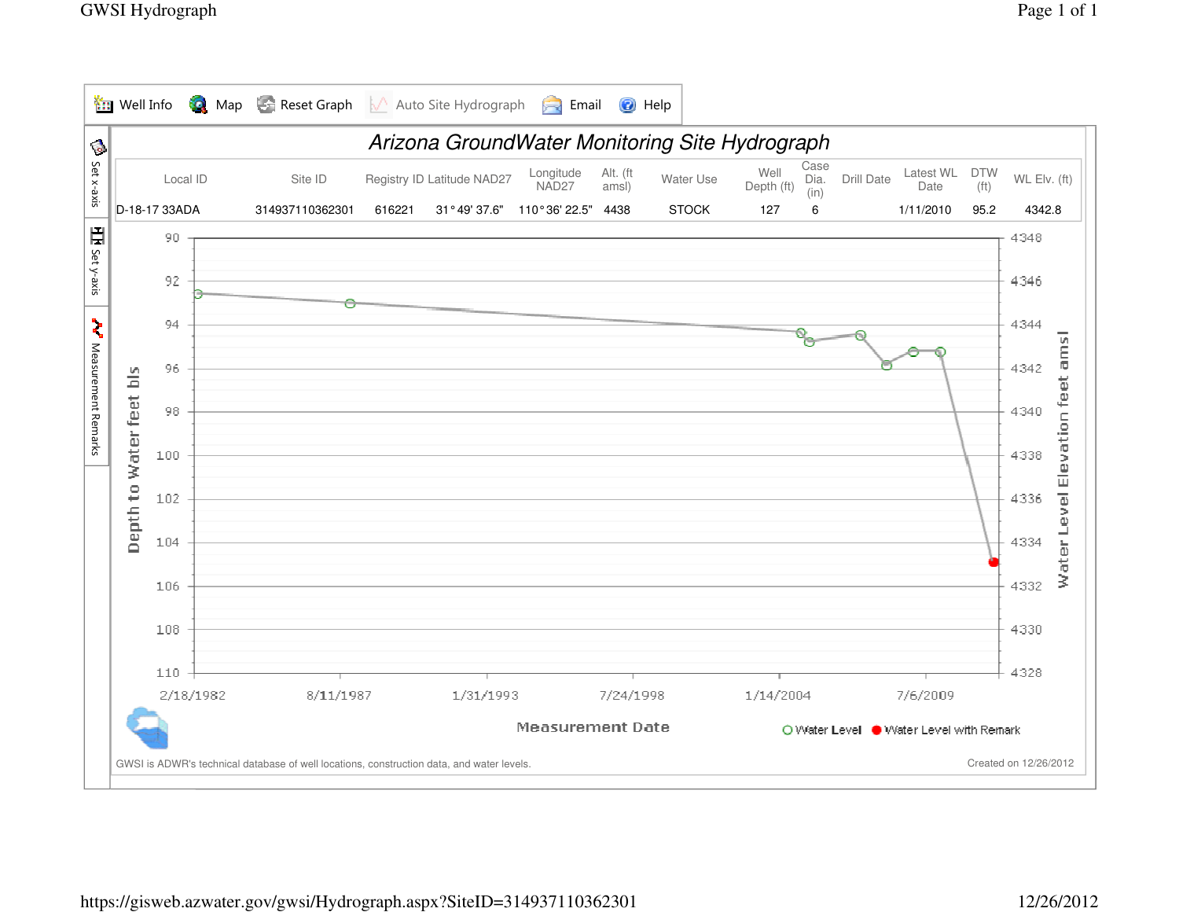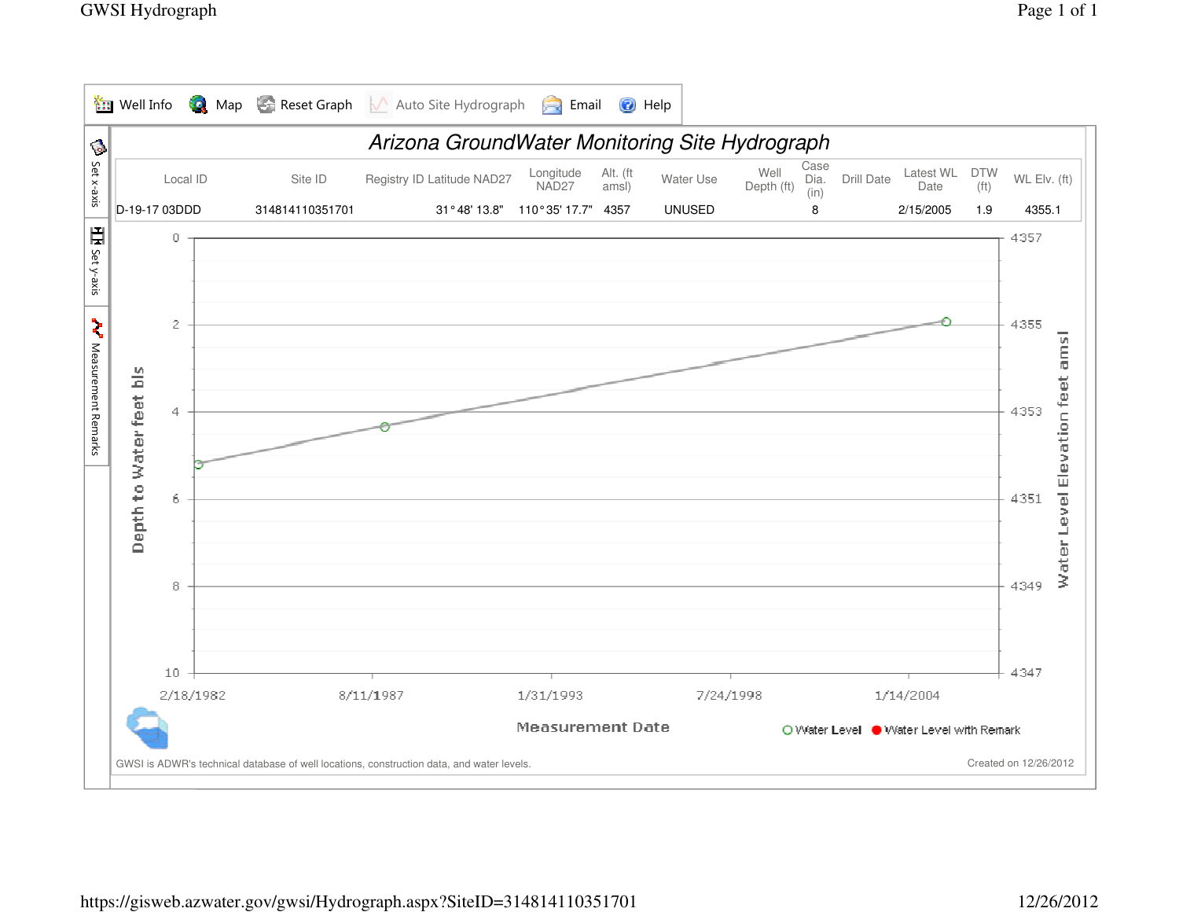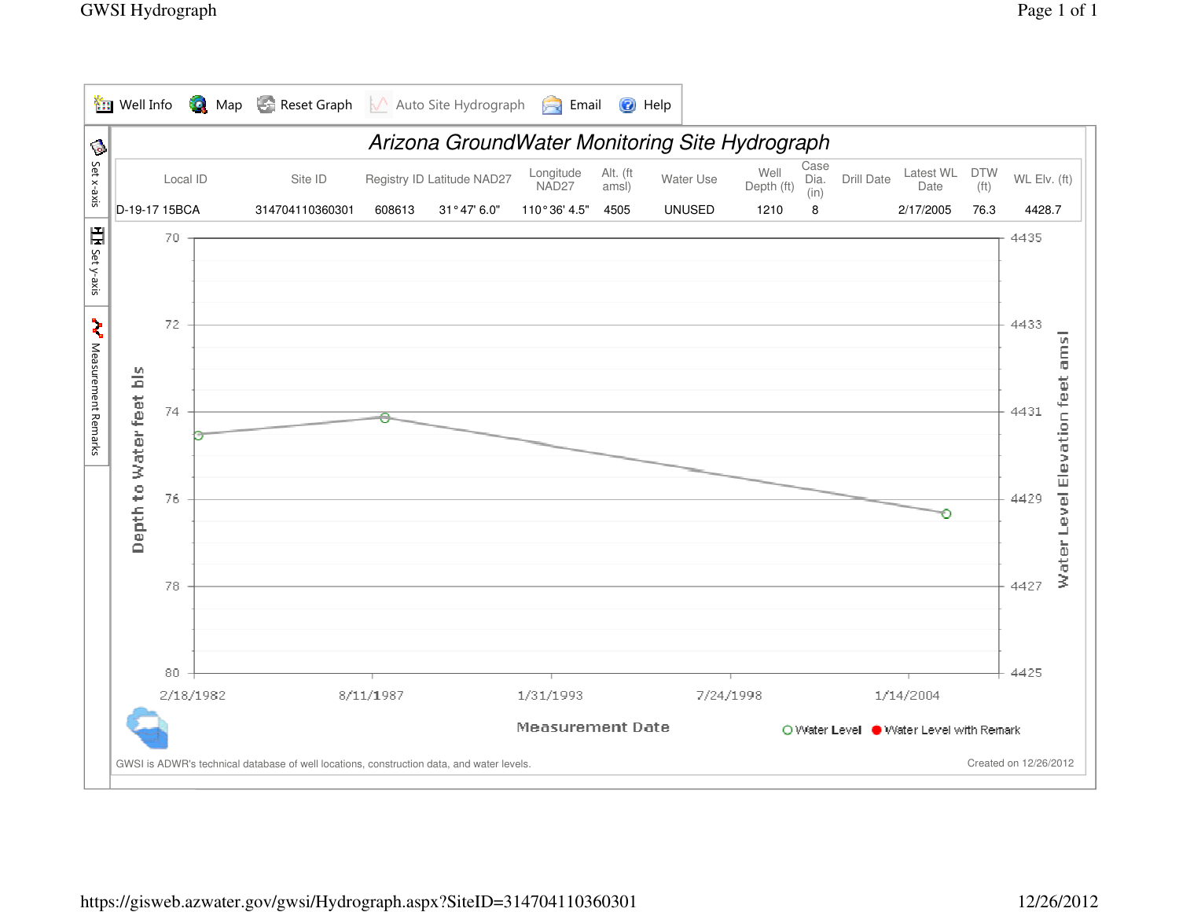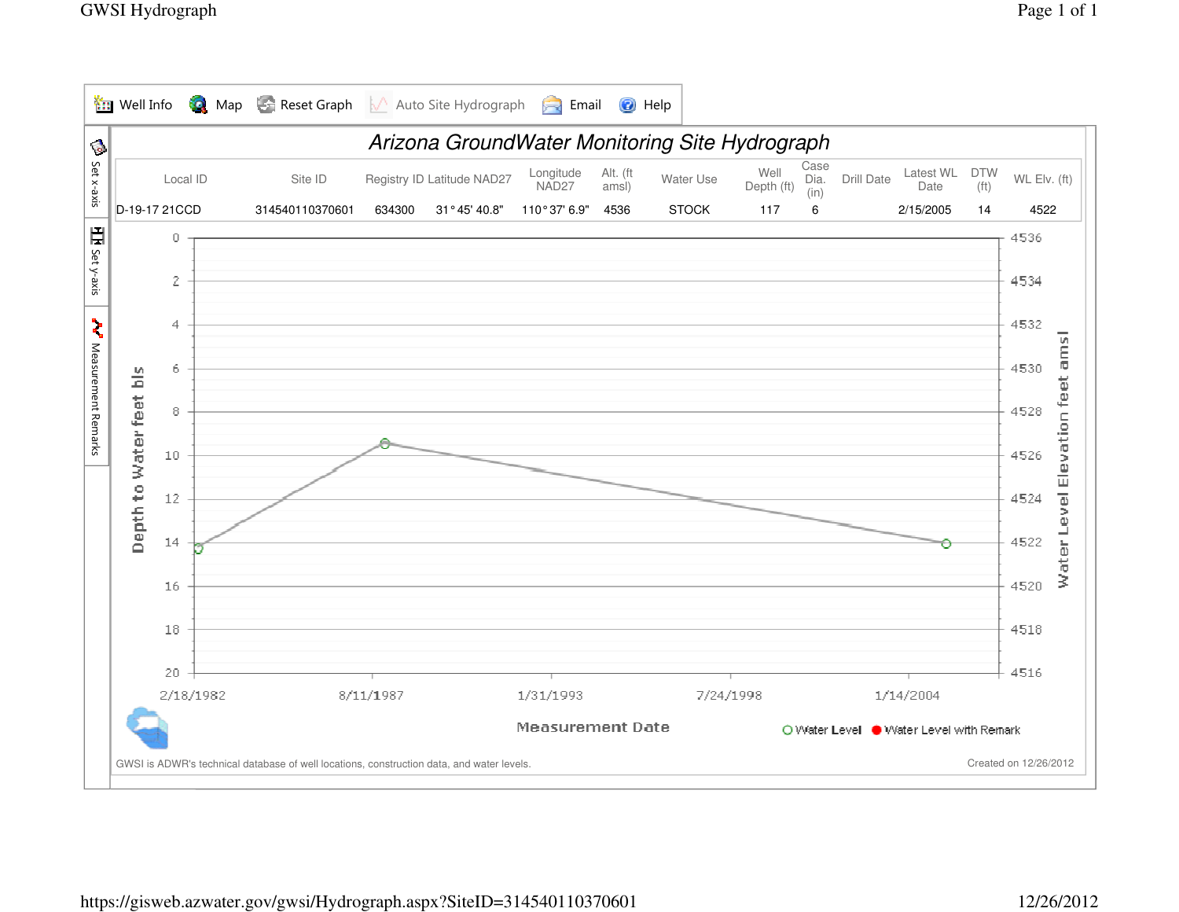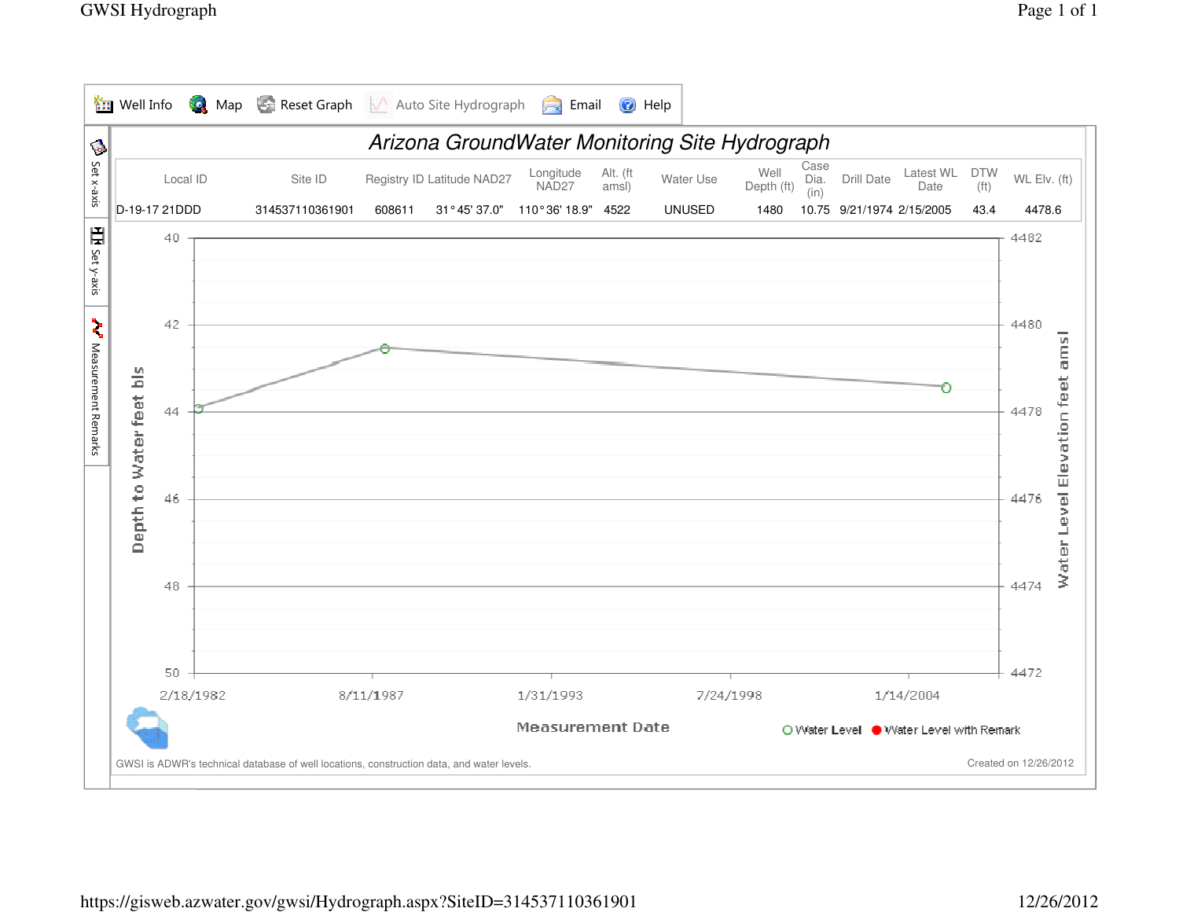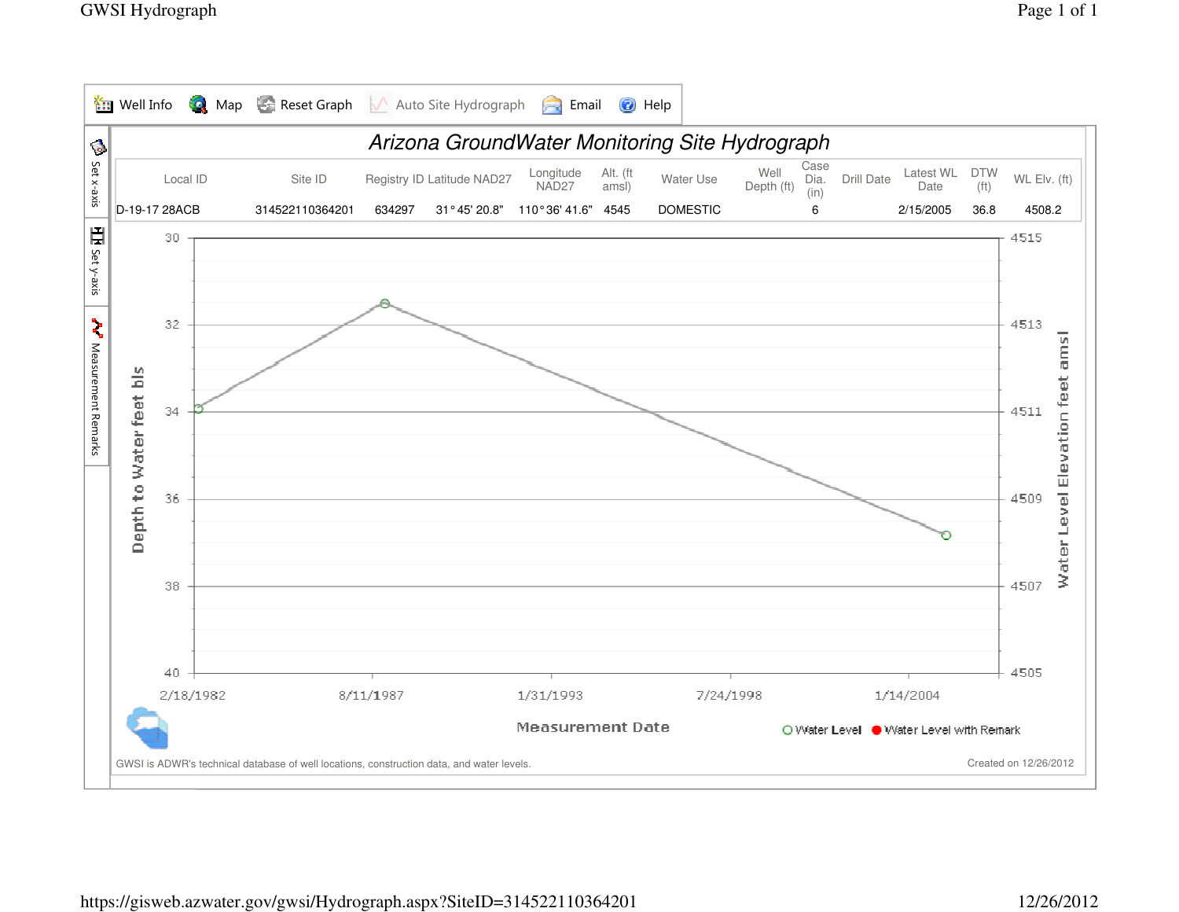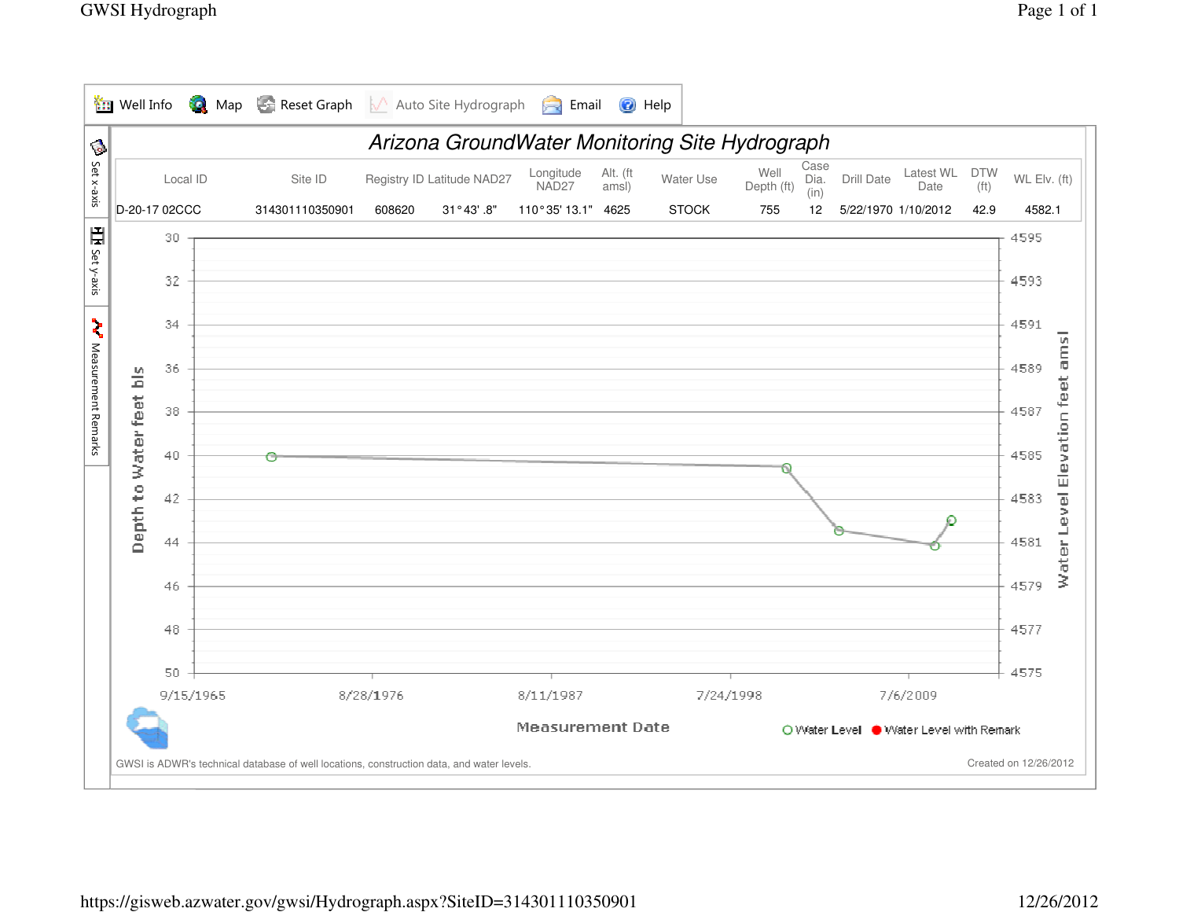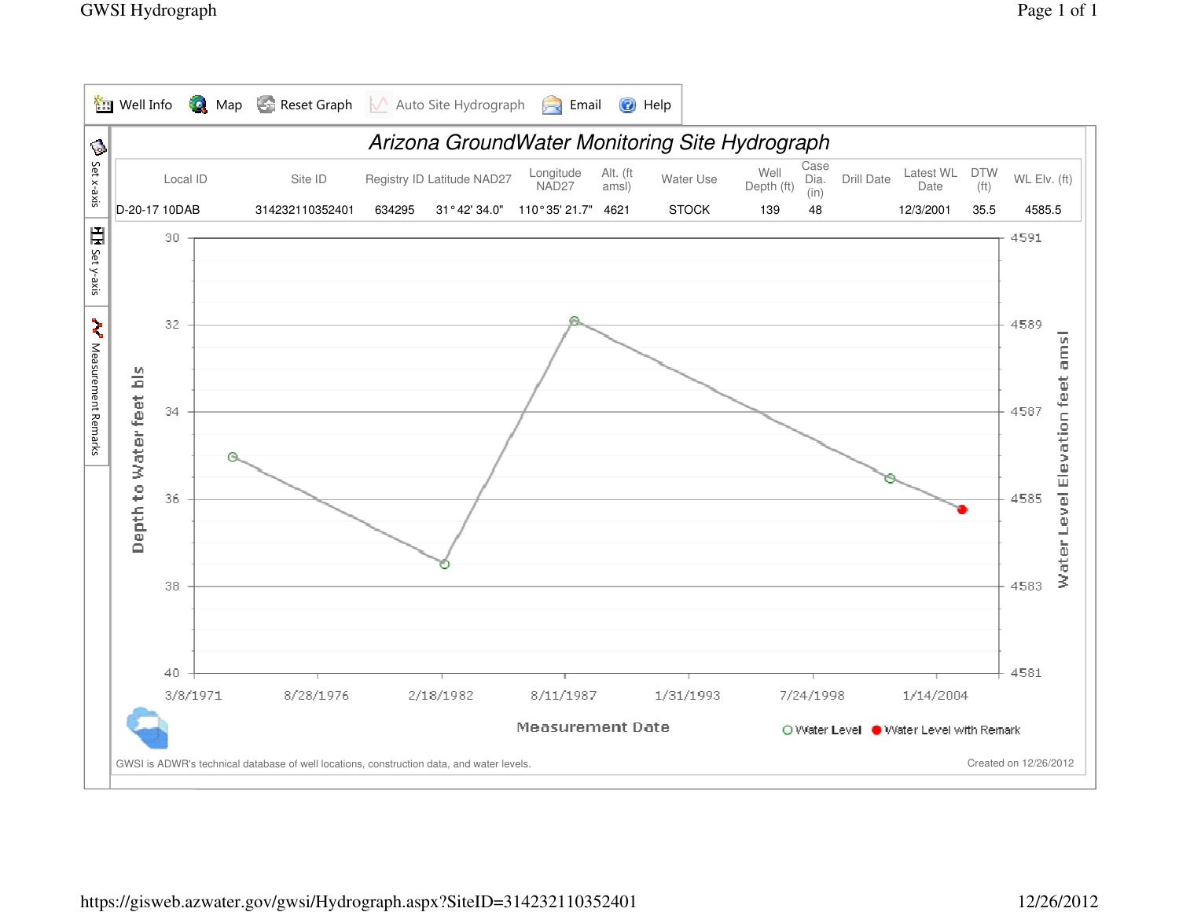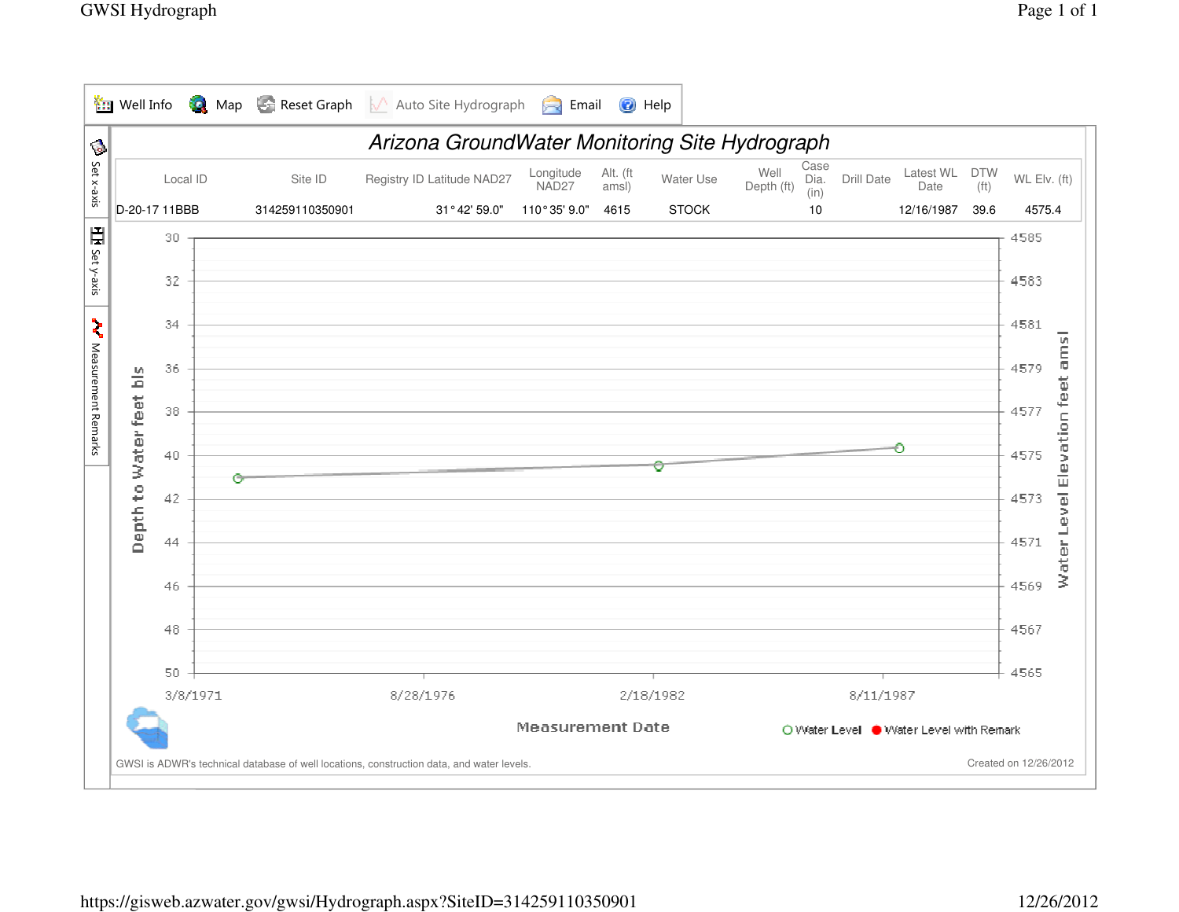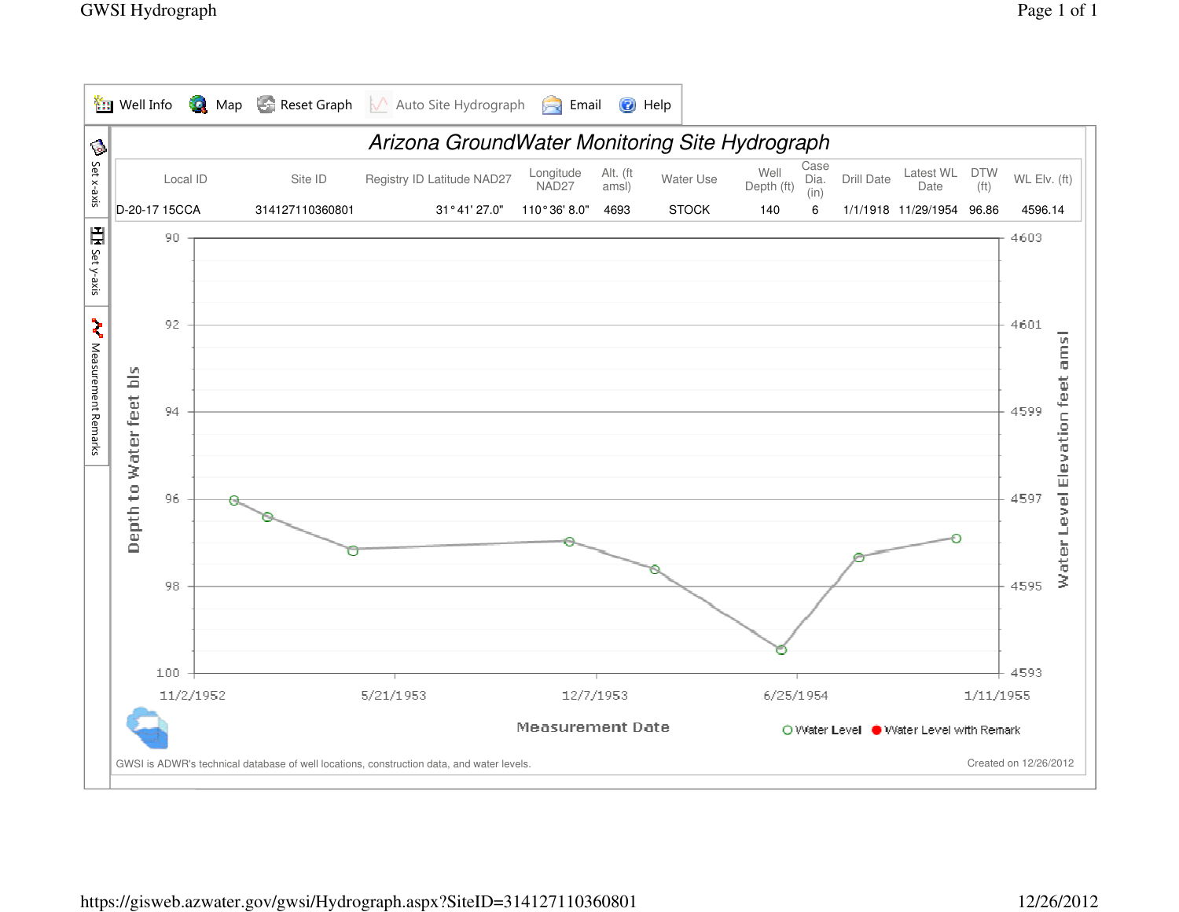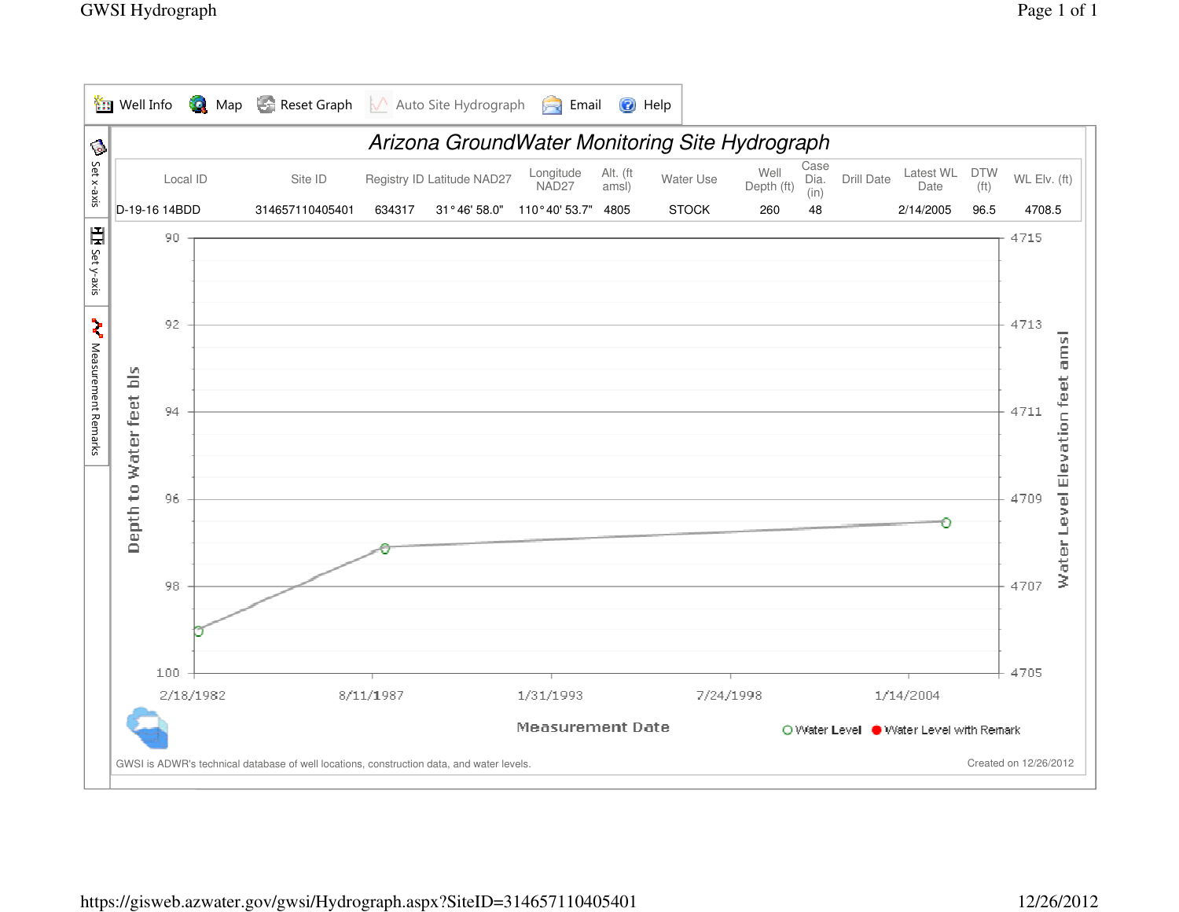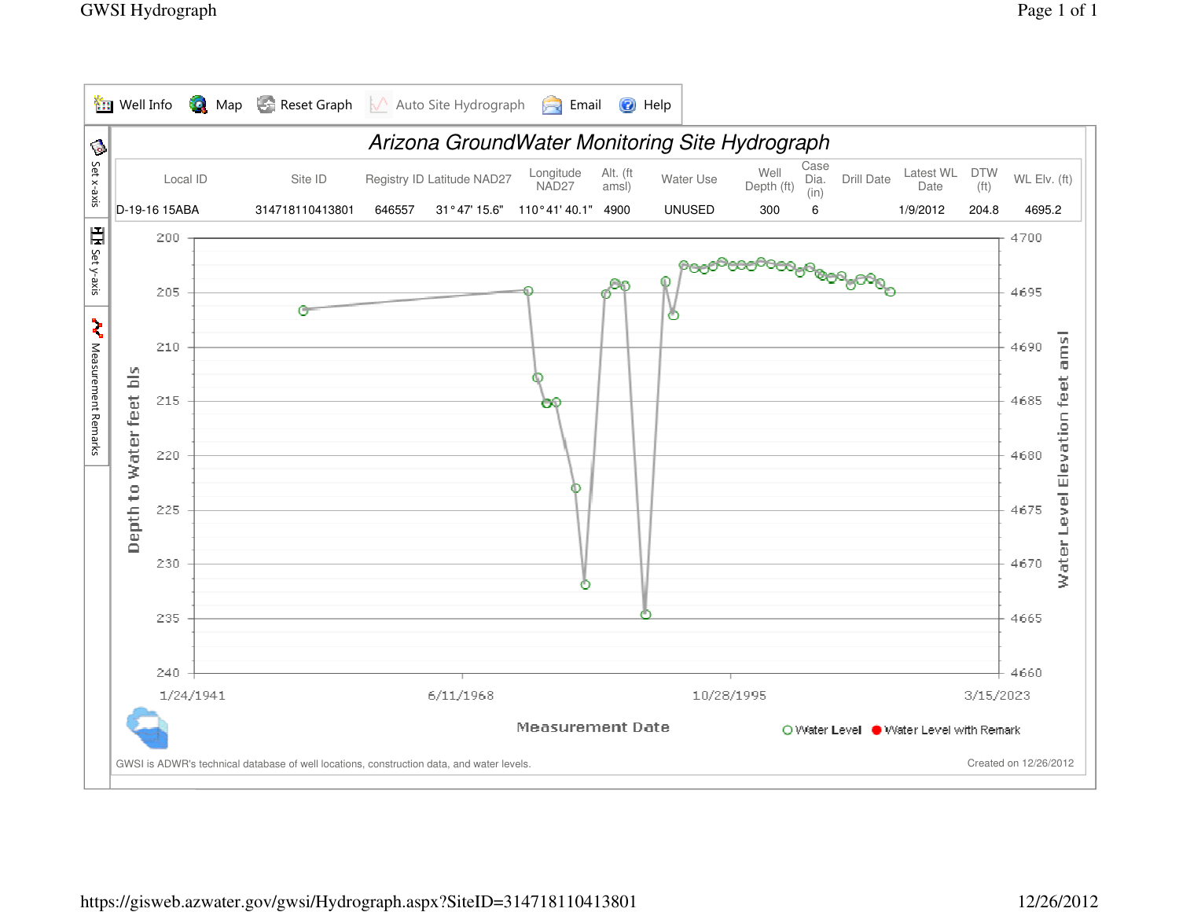

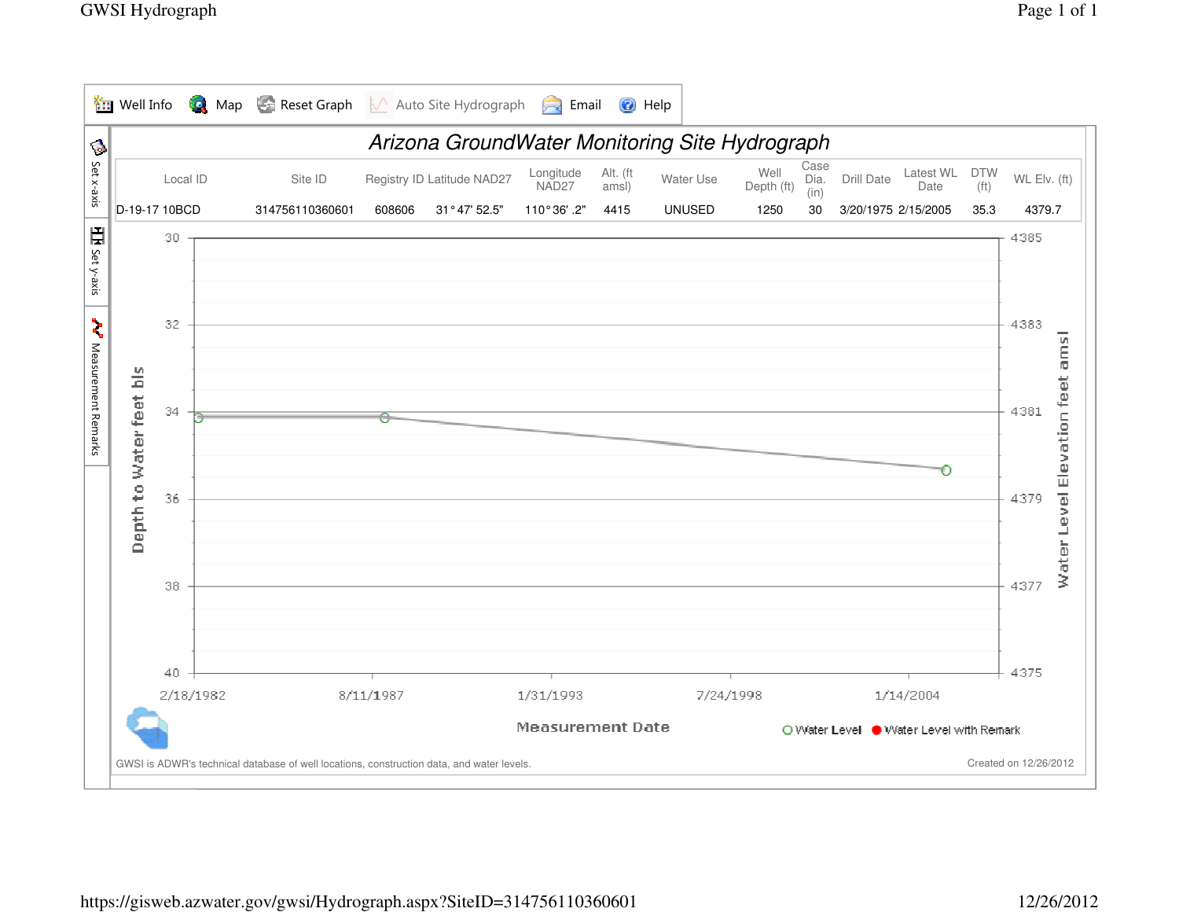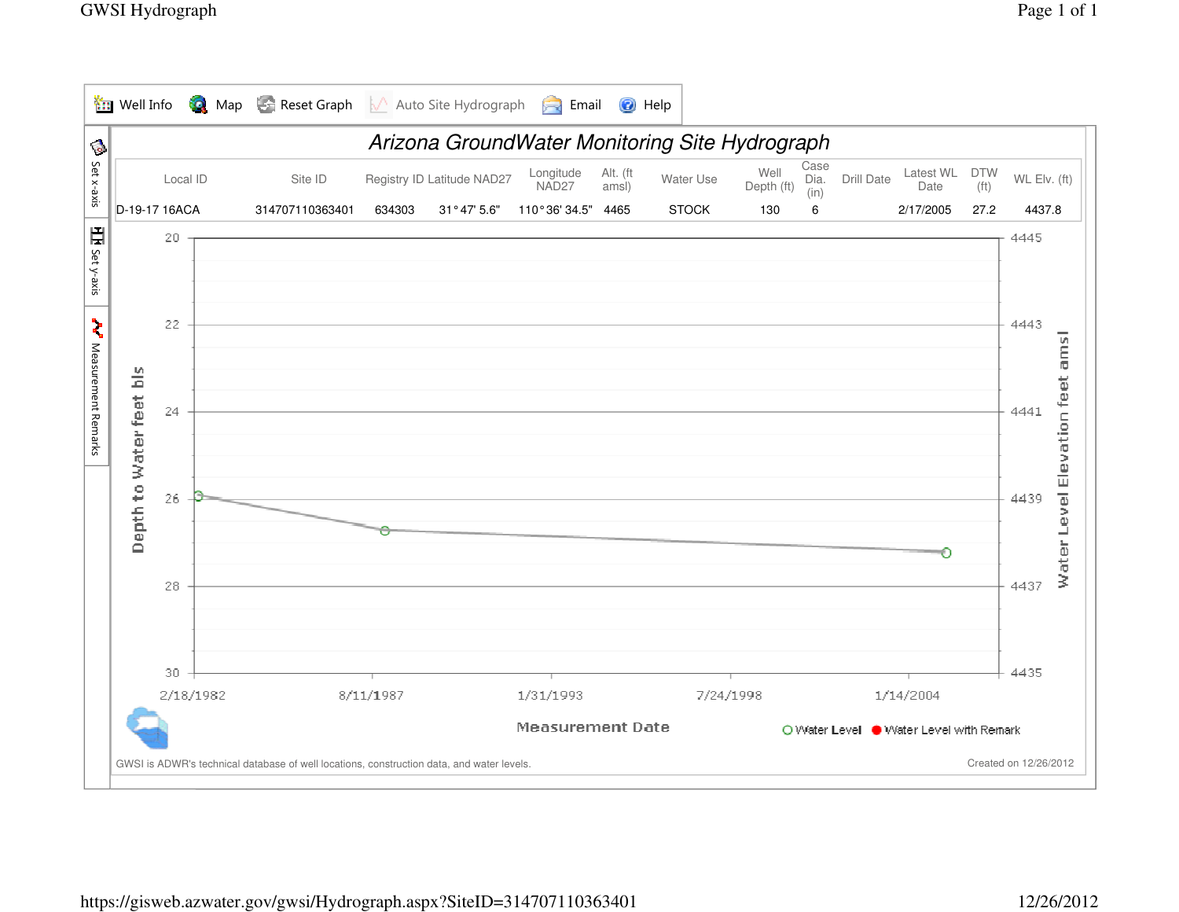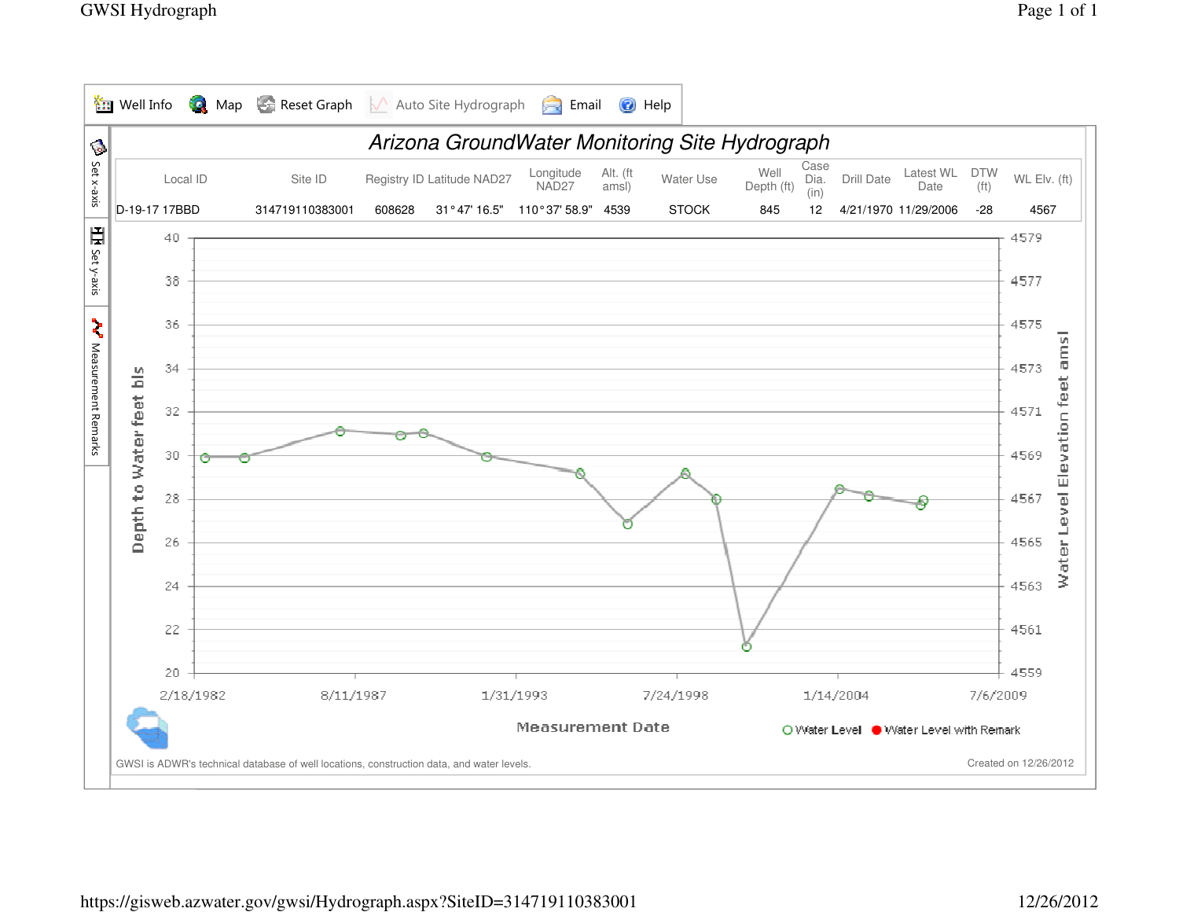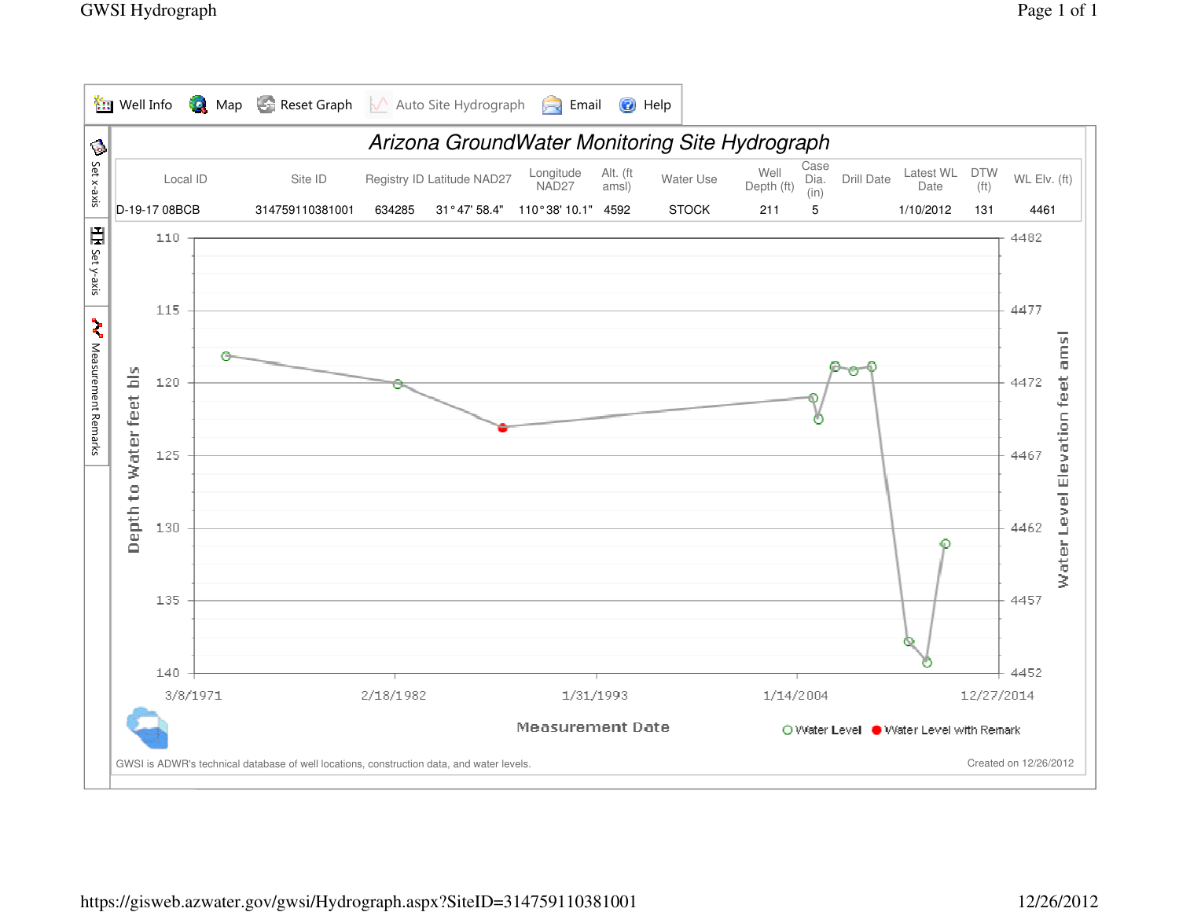